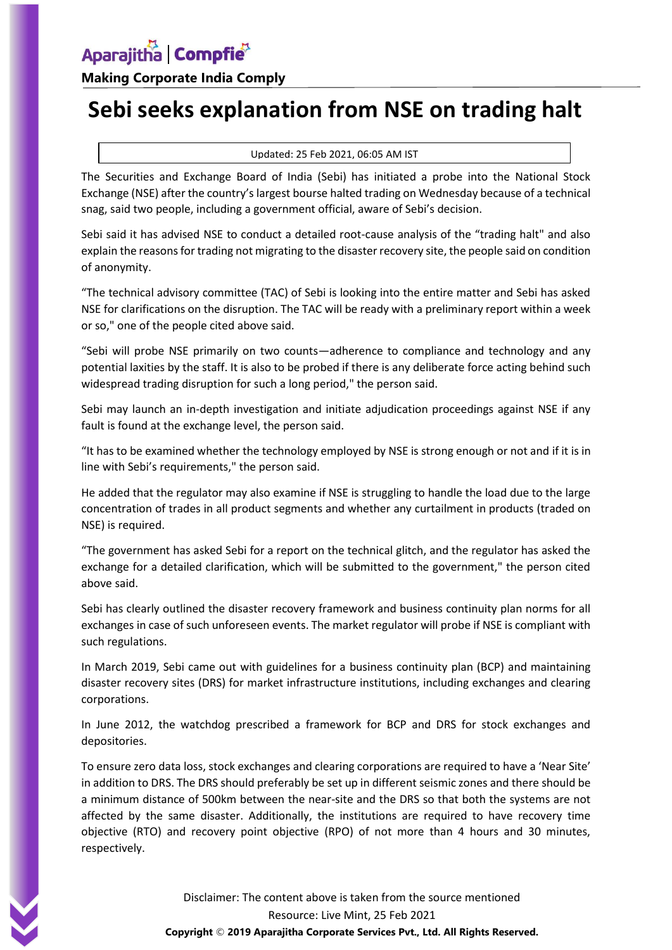**Making Corporate India Comply**

## **Sebi seeks explanation from NSE on trading halt**

## Updated: 25 Feb 2021, 06:05 AM IST

The Securities and Exchange Board of India (Sebi) has initiated a probe into the National Stock Exchange (NSE) after the country's largest bourse halted trading on Wednesday because of a technical snag, said two people, including a government official, aware of Sebi's decision.

Sebi said it has advised NSE to conduct a detailed root-cause analysis of the "trading halt" and also explain the reasons for trading not migrating to the disaster recovery site, the people said on condition of anonymity.

"The technical advisory committee (TAC) of Sebi is looking into the entire matter and Sebi has asked NSE for clarifications on the disruption. The TAC will be ready with a preliminary report within a week or so," one of the people cited above said.

"Sebi will probe NSE primarily on two counts—adherence to compliance and technology and any potential laxities by the staff. It is also to be probed if there is any deliberate force acting behind such widespread trading disruption for such a long period," the person said.

Sebi may launch an in-depth investigation and initiate adjudication proceedings against NSE if any fault is found at the exchange level, the person said.

"It has to be examined whether the technology employed by NSE is strong enough or not and if it is in line with Sebi's requirements," the person said.

He added that the regulator may also examine if NSE is struggling to handle the load due to the large concentration of trades in all product segments and whether any curtailment in products (traded on NSE) is required.

"The government has asked Sebi for a report on the technical glitch, and the regulator has asked the exchange for a detailed clarification, which will be submitted to the government," the person cited above said.

Sebi has clearly outlined the disaster recovery framework and business continuity plan norms for all exchanges in case of such unforeseen events. The market regulator will probe if NSE is compliant with such regulations.

In March 2019, Sebi came out with guidelines for a business continuity plan (BCP) and maintaining disaster recovery sites (DRS) for market infrastructure institutions, including exchanges and clearing corporations.

In June 2012, the watchdog prescribed a framework for BCP and DRS for stock exchanges and depositories.

To ensure zero data loss, stock exchanges and clearing corporations are required to have a 'Near Site' in addition to DRS. The DRS should preferably be set up in different seismic zones and there should be a minimum distance of 500km between the near-site and the DRS so that both the systems are not affected by the same disaster. Additionally, the institutions are required to have recovery time objective (RTO) and recovery point objective (RPO) of not more than 4 hours and 30 minutes, respectively.